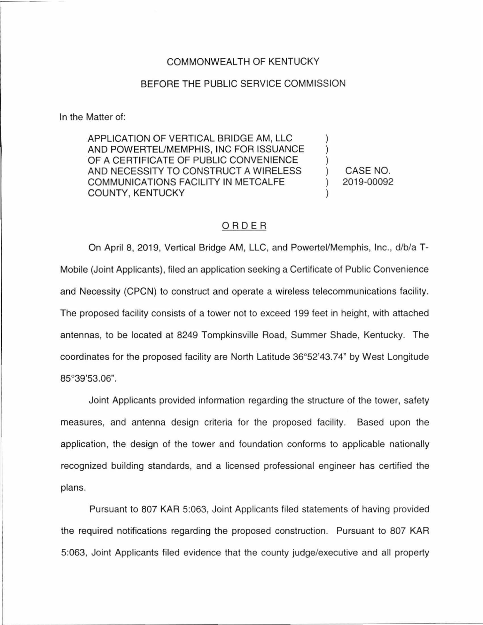## COMMONWEALTH OF KENTUCKY

## BEFORE THE PUBLIC SERVICE COMMISSION

In the Matter of:

APPLICATION OF VERTICAL BRIDGE AM, LLC AND POWERTEUMEMPHIS, INC FOR ISSUANCE OF A CERTIFICATE OF PUBLIC CONVENIENCE AND NECESSITY TO CONSTRUCT A WIRELESS COMMUNICATIONS FACILITY IN METCALFE COUNTY, KENTUCKY

) CASE NO. ) 2019-00092

) ) )

)

## ORDER

On April 8, 2019, Vertical Bridge AM, LLC, and Powertel/Memphis, Inc., d/b/a T-Mobile (Joint Applicants), filed an application seeking a Certificate of Public Convenience and Necessity (CPCN) to construct and operate a wireless telecommunications facility. The proposed facility consists of a tower not to exceed 199 feet in height, with attached antennas, to be located at 8249 Tompkinsville Road, Summer Shade, Kentucky. The coordinates for the proposed facility are North Latitude 36°52'43.74" by West Longitude 85°39'53.06".

Joint Applicants provided information regarding the structure of the tower, safety measures, and antenna design criteria for the proposed facility. Based upon the application, the design of the tower and foundation conforms to applicable nationally recognized building standards, and a licensed professional engineer has certified the plans.

Pursuant to 807 KAR 5:063, Joint Applicants filed statements of having provided the required notifications regarding the proposed construction. Pursuant to 807 KAR 5:063, Joint Applicants filed evidence that the county judge/executive and all property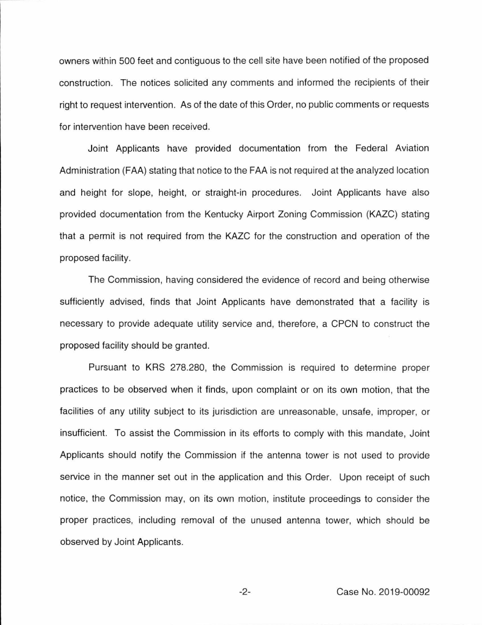owners within 500 feet and contiguous to the cell site have been notified of the proposed construction. The notices solicited any comments and informed the recipients of their right to request intervention. As of the date of this Order, no public comments or requests for intervention have been received.

Joint Applicants have provided documentation from the Federal Aviation Administration (FAA) stating that notice to the FAA is not required at the analyzed location and height for slope, height, or straight-in procedures. Joint Applicants have also provided documentation from the Kentucky Airport Zoning Commission (KAZC) stating that a permit is not required from the KAZC for the construction and operation of the proposed facility.

The Commission, having considered the evidence of record and being otherwise sufficiently advised, finds that Joint Applicants have demonstrated that a facility is necessary to provide adequate utility service and, therefore, a CPCN to construct the proposed facility should be granted.

Pursuant to KRS 278.280, the Commission is required to determine proper practices to be observed when it finds, upon complaint or on its own motion, that the facilities of any utility subject to its jurisdiction are unreasonable, unsafe, improper, or insufficient. To assist the Commission in its efforts to comply with this mandate, Joint Applicants should notify the Commission if the antenna tower is not used to provide service in the manner set out in the application and this Order. Upon receipt of such notice, the Commission may, on its own motion, institute proceedings to consider the proper practices, including removal of the unused antenna tower, which should be observed by Joint Applicants.

-2- Case No. 2019-00092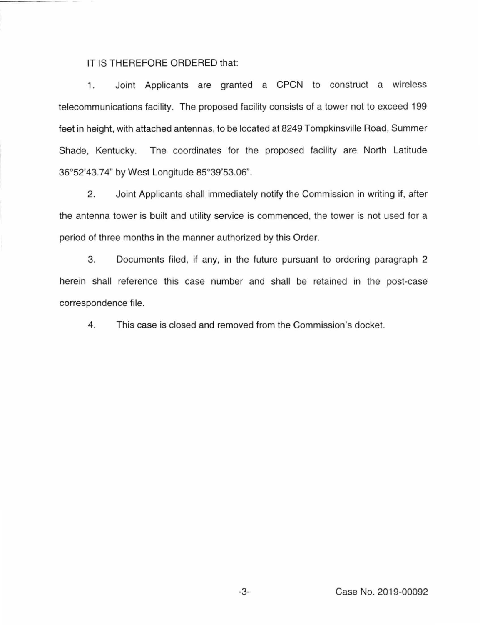## IT IS THEREFORE ORDERED that:

1. Joint Applicants are granted a CPCN to construct a wireless telecommunications facility. The proposed facility consists of a tower not to exceed 199 feet in height, with attached antennas, to be located at 8249 Tompkinsville Road, Summer Shade, Kentucky. The coordinates for the proposed facility are North Latitude 36°52'43.74" by West Longitude 85°39'53.06".

2. Joint Applicants shall immediately notify the Commission in writing if, after the antenna tower is built and utility service is commenced, the tower is not used for a period of three months in the manner authorized by this Order.

3. Documents filed, if any, in the future pursuant to ordering paragraph 2 herein shall reference this case number and shall be retained in the post-case correspondence file.

4. This case is closed and removed from the Commission's docket.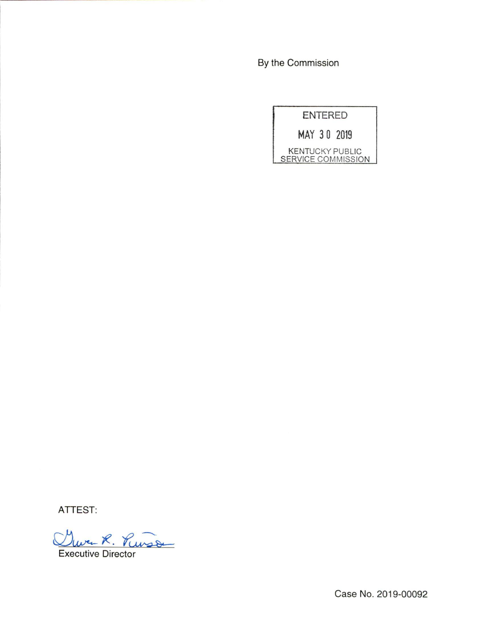By the Commission

|                    | ENTERED |                        |
|--------------------|---------|------------------------|
|                    |         | MAY 30 2019            |
| SERVICE COMMISSION |         | <b>KENTUCKY PUBLIC</b> |

ATTEST:

Clura R. Puisse Executive Director

Case No. 2019-00092